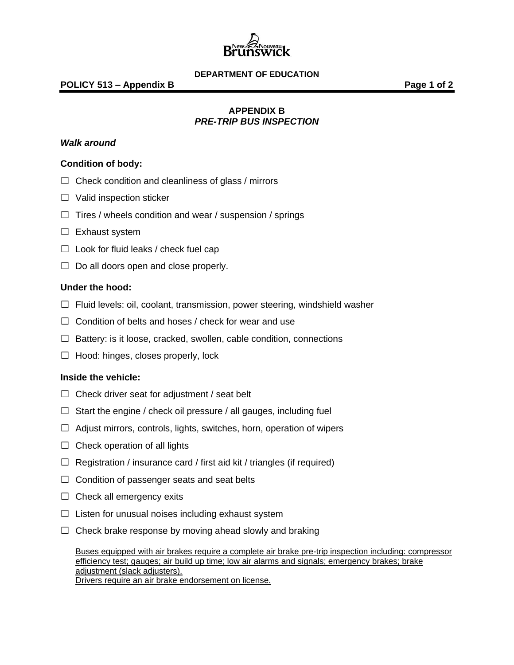

### **DEPARTMENT OF EDUCATION**

# **APPENDIX B**  *PRE-TRIP BUS INSPECTION*

## *Walk around*

## **Condition of body:**

- $\Box$  Check condition and cleanliness of glass / mirrors
- □ Valid inspection sticker
- $\Box$  Tires / wheels condition and wear / suspension / springs
- $\Box$  Exhaust system
- $\Box$  Look for fluid leaks / check fuel cap
- $\Box$  Do all doors open and close properly.

### **Under the hood:**

- $\Box$  Fluid levels: oil, coolant, transmission, power steering, windshield washer
- $\Box$  Condition of belts and hoses / check for wear and use
- $\Box$  Battery: is it loose, cracked, swollen, cable condition, connections
- $\Box$  Hood: hinges, closes properly, lock

### **Inside the vehicle:**

- $\Box$  Check driver seat for adjustment / seat belt
- $\Box$  Start the engine / check oil pressure / all gauges, including fuel
- $\Box$  Adjust mirrors, controls, lights, switches, horn, operation of wipers
- $\Box$  Check operation of all lights
- $\Box$  Registration / insurance card / first aid kit / triangles (if required)
- $\Box$  Condition of passenger seats and seat belts
- $\Box$  Check all emergency exits
- $\Box$  Listen for unusual noises including exhaust system
- $\Box$  Check brake response by moving ahead slowly and braking

Buses equipped with air brakes require a complete air brake pre-trip inspection including: compressor efficiency test; gauges; air build up time; low air alarms and signals; emergency brakes; brake adjustment (slack adjusters). Drivers require an air brake endorsement on license.